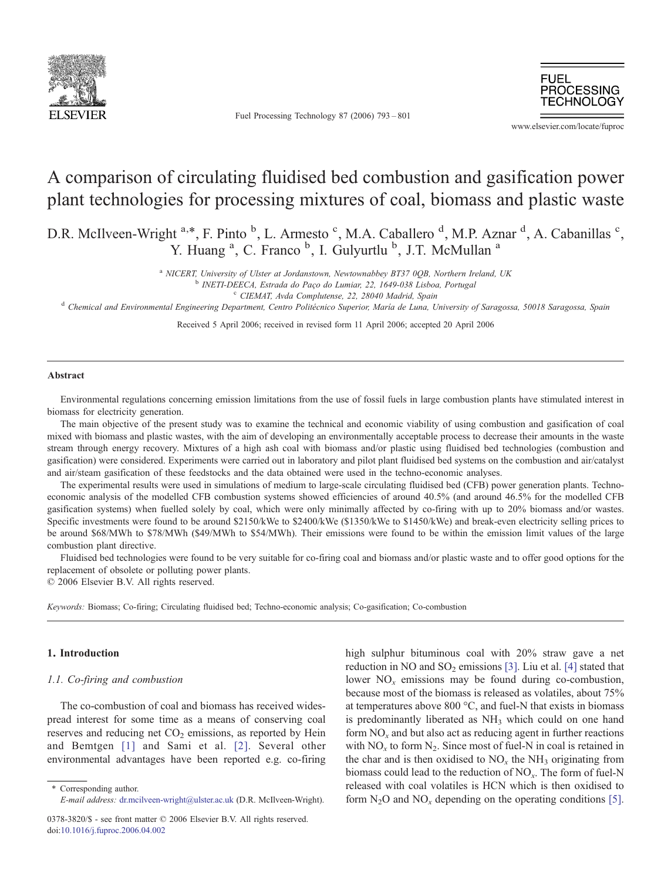

Fuel Processing Technology 87 (2006) 793–801



www.elsevier.com/locate/fuproc

# A comparison of circulating fluidised bed combustion and gasification power plant technologies for processing mixtures of coal, biomass and plastic waste

D.R. McIlveen-Wright <sup>a,\*</sup>, F. Pinto <sup>b</sup>, L. Armesto <sup>c</sup>, M.A. Caballero <sup>d</sup>, M.P. Aznar <sup>d</sup>, A. Cabanillas <sup>c</sup>, Y. Huang<sup>a</sup>, C. Franco<sup>b</sup>, I. Gulyurtlu<sup>b</sup>, J.T. McMullan<sup>a</sup>

<sup>a</sup> NICERT, University of Ulster at Jordanstown, Newtownabbey BT37 0QB, Northern Ireland, UK<br><sup>b</sup> INETI-DEECA, Estrada do Paco do Lumiar, 22, 1649-038 Lisboa, Portugal

<sup>c</sup> CIEMAT, Avda Complutense, 22, 28040 Madrid, Spain<br><sup>d</sup> Chemical and Environmental Engineering Department, Centro Politécnico Superior, María de Luna, University of Saragossa, 50018 Saragossa, Spain

Received 5 April 2006; received in revised form 11 April 2006; accepted 20 April 2006

#### Abstract

Environmental regulations concerning emission limitations from the use of fossil fuels in large combustion plants have stimulated interest in biomass for electricity generation.

The main objective of the present study was to examine the technical and economic viability of using combustion and gasification of coal mixed with biomass and plastic wastes, with the aim of developing an environmentally acceptable process to decrease their amounts in the waste stream through energy recovery. Mixtures of a high ash coal with biomass and/or plastic using fluidised bed technologies (combustion and gasification) were considered. Experiments were carried out in laboratory and pilot plant fluidised bed systems on the combustion and air/catalyst and air/steam gasification of these feedstocks and the data obtained were used in the techno-economic analyses.

The experimental results were used in simulations of medium to large-scale circulating fluidised bed (CFB) power generation plants. Technoeconomic analysis of the modelled CFB combustion systems showed efficiencies of around 40.5% (and around 46.5% for the modelled CFB gasification systems) when fuelled solely by coal, which were only minimally affected by co-firing with up to 20% biomass and/or wastes. Specific investments were found to be around \$2150/kWe to \$2400/kWe (\$1350/kWe to \$1450/kWe) and break-even electricity selling prices to be around \$68/MWh to \$78/MWh (\$49/MWh to \$54/MWh). Their emissions were found to be within the emission limit values of the large combustion plant directive.

Fluidised bed technologies were found to be very suitable for co-firing coal and biomass and/or plastic waste and to offer good options for the replacement of obsolete or polluting power plants.

© 2006 Elsevier B.V. All rights reserved.

Keywords: Biomass; Co-firing; Circulating fluidised bed; Techno-economic analysis; Co-gasification; Co-combustion

#### 1. Introduction

## 1.1. Co-firing and combustion

The co-combustion of coal and biomass has received widespread interest for some time as a means of conserving coal reserves and reducing net  $CO<sub>2</sub>$  emissions, as reported by Hein and Bemtgen [\[1\]](#page-7-0) and Sami et al. [\[2\].](#page-7-0) Several other environmental advantages have been reported e.g. co-firing high sulphur bituminous coal with 20% straw gave a net reduction in NO and  $SO_2$  emissions [\[3\]](#page-7-0). Liu et al. [\[4\]](#page-7-0) stated that lower  $NO<sub>x</sub>$  emissions may be found during co-combustion, because most of the biomass is released as volatiles, about 75% at temperatures above 800 °C, and fuel-N that exists in biomass is predominantly liberated as  $NH<sub>3</sub>$  which could on one hand form  $NO<sub>x</sub>$  and but also act as reducing agent in further reactions with  $NO<sub>x</sub>$  to form  $N<sub>2</sub>$ . Since most of fuel-N in coal is retained in the char and is then oxidised to  $NO<sub>x</sub>$  the NH<sub>3</sub> originating from biomass could lead to the reduction of  $NO<sub>x</sub>$ . The form of fuel-N released with coal volatiles is HCN which is then oxidised to form  $N_2O$  and  $NO_x$  depending on the operating conditions [\[5\]](#page-7-0).

<sup>⁎</sup> Corresponding author. E-mail address: [dr.mcilveen-wright@ulster.ac.uk](mailto:dr.mcilveen-right@ulster.ac.uk) (D.R. McIlveen-Wright).

<sup>0378-3820/\$ -</sup> see front matter © 2006 Elsevier B.V. All rights reserved. doi:[10.1016/j.fuproc.2006.04.002](http://dx.doi.org/10.1016/j.fuproc.2006.04.002)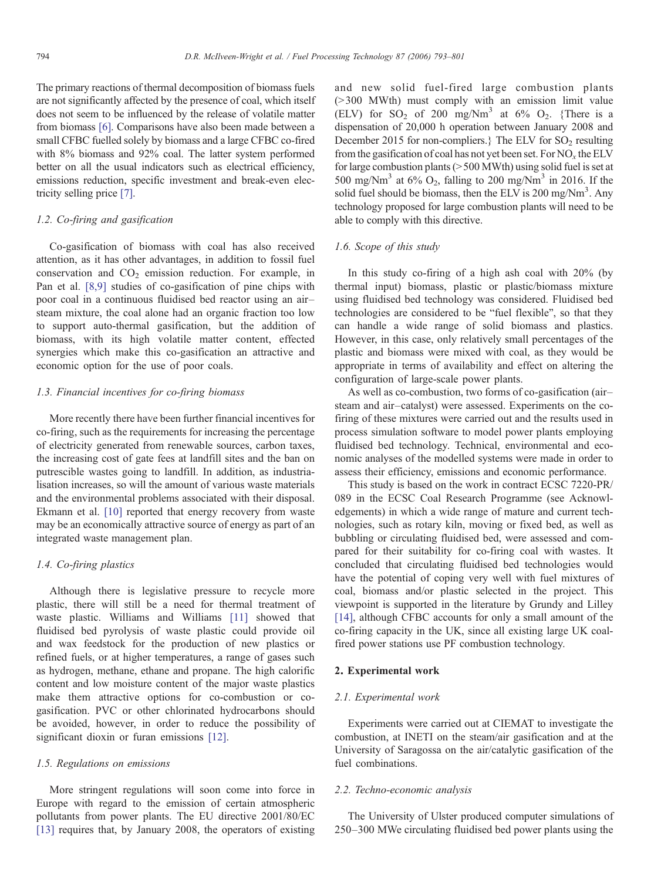The primary reactions of thermal decomposition of biomass fuels are not significantly affected by the presence of coal, which itself does not seem to be influenced by the release of volatile matter from biomass [\[6\]](#page-7-0). Comparisons have also been made between a small CFBC fuelled solely by biomass and a large CFBC co-fired with 8% biomass and 92% coal. The latter system performed better on all the usual indicators such as electrical efficiency, emissions reduction, specific investment and break-even electricity selling price [\[7\].](#page-7-0)

## 1.2. Co-firing and gasification

Co-gasification of biomass with coal has also received attention, as it has other advantages, in addition to fossil fuel conservation and  $CO<sub>2</sub>$  emission reduction. For example, in Pan et al. [\[8,9\]](#page-7-0) studies of co-gasification of pine chips with poor coal in a continuous fluidised bed reactor using an air– steam mixture, the coal alone had an organic fraction too low to support auto-thermal gasification, but the addition of biomass, with its high volatile matter content, effected synergies which make this co-gasification an attractive and economic option for the use of poor coals.

## 1.3. Financial incentives for co-firing biomass

More recently there have been further financial incentives for co-firing, such as the requirements for increasing the percentage of electricity generated from renewable sources, carbon taxes, the increasing cost of gate fees at landfill sites and the ban on putrescible wastes going to landfill. In addition, as industrialisation increases, so will the amount of various waste materials and the environmental problems associated with their disposal. Ekmann et al. [\[10\]](#page-7-0) reported that energy recovery from waste may be an economically attractive source of energy as part of an integrated waste management plan.

#### 1.4. Co-firing plastics

Although there is legislative pressure to recycle more plastic, there will still be a need for thermal treatment of waste plastic. Williams and Williams [\[11\]](#page-7-0) showed that fluidised bed pyrolysis of waste plastic could provide oil and wax feedstock for the production of new plastics or refined fuels, or at higher temperatures, a range of gases such as hydrogen, methane, ethane and propane. The high calorific content and low moisture content of the major waste plastics make them attractive options for co-combustion or cogasification. PVC or other chlorinated hydrocarbons should be avoided, however, in order to reduce the possibility of significant dioxin or furan emissions [\[12\]](#page-7-0).

### 1.5. Regulations on emissions

More stringent regulations will soon come into force in Europe with regard to the emission of certain atmospheric pollutants from power plants. The EU directive 2001/80/EC [\[13\]](#page-7-0) requires that, by January 2008, the operators of existing and new solid fuel-fired large combustion plants  $(0.300 \text{ MWh})$  must comply with an emission limit value (ELV) for  $SO_2$  of 200 mg/Nm<sup>3</sup> at  $6\%$   $O_2$ . {There is a dispensation of 20,000 h operation between January 2008 and December 2015 for non-compliers.} The ELV for  $SO<sub>2</sub>$  resulting from the gasification of coal has not yet been set. For  $NO<sub>x</sub>$  the ELV for large combustion plants ( $> 500$  MWth) using solid fuel is set at 500 mg/Nm<sup>3</sup> at 6%  $O_2$ , falling to 200 mg/Nm<sup>3</sup> in 2016. If the solid fuel should be biomass, then the ELV is 200 mg/Nm<sup>3</sup>. Any technology proposed for large combustion plants will need to be able to comply with this directive.

## 1.6. Scope of this study

In this study co-firing of a high ash coal with 20% (by thermal input) biomass, plastic or plastic/biomass mixture using fluidised bed technology was considered. Fluidised bed technologies are considered to be "fuel flexible", so that they can handle a wide range of solid biomass and plastics. However, in this case, only relatively small percentages of the plastic and biomass were mixed with coal, as they would be appropriate in terms of availability and effect on altering the configuration of large-scale power plants.

As well as co-combustion, two forms of co-gasification (air– steam and air–catalyst) were assessed. Experiments on the cofiring of these mixtures were carried out and the results used in process simulation software to model power plants employing fluidised bed technology. Technical, environmental and economic analyses of the modelled systems were made in order to assess their efficiency, emissions and economic performance.

This study is based on the work in contract ECSC 7220-PR/ 089 in the ECSC Coal Research Programme (see Acknowledgements) in which a wide range of mature and current technologies, such as rotary kiln, moving or fixed bed, as well as bubbling or circulating fluidised bed, were assessed and compared for their suitability for co-firing coal with wastes. It concluded that circulating fluidised bed technologies would have the potential of coping very well with fuel mixtures of coal, biomass and/or plastic selected in the project. This viewpoint is supported in the literature by Grundy and Lilley [\[14\]](#page-7-0), although CFBC accounts for only a small amount of the co-firing capacity in the UK, since all existing large UK coalfired power stations use PF combustion technology.

#### 2. Experimental work

#### 2.1. Experimental work

Experiments were carried out at CIEMAT to investigate the combustion, at INETI on the steam/air gasification and at the University of Saragossa on the air/catalytic gasification of the fuel combinations.

# 2.2. Techno-economic analysis

The University of Ulster produced computer simulations of 250–300 MWe circulating fluidised bed power plants using the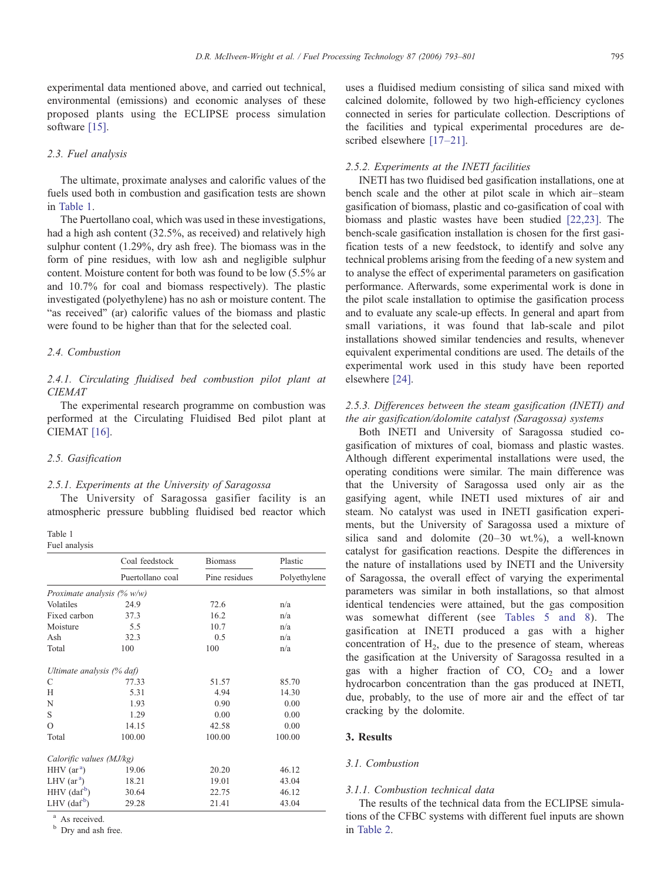experimental data mentioned above, and carried out technical, environmental (emissions) and economic analyses of these proposed plants using the ECLIPSE process simulation software [\[15\].](#page-7-0)

#### 2.3. Fuel analysis

The ultimate, proximate analyses and calorific values of the fuels used both in combustion and gasification tests are shown in Table 1.

The Puertollano coal, which was used in these investigations, had a high ash content (32.5%, as received) and relatively high sulphur content (1.29%, dry ash free). The biomass was in the form of pine residues, with low ash and negligible sulphur content. Moisture content for both was found to be low (5.5% ar and 10.7% for coal and biomass respectively). The plastic investigated (polyethylene) has no ash or moisture content. The "as received" (ar) calorific values of the biomass and plastic were found to be higher than that for the selected coal.

## 2.4. Combustion

# 2.4.1. Circulating fluidised bed combustion pilot plant at **CIEMAT**

The experimental research programme on combustion was performed at the Circulating Fluidised Bed pilot plant at CIEMAT [\[16\].](#page-8-0)

#### 2.5. Gasification

#### 2.5.1. Experiments at the University of Saragossa

The University of Saragossa gasifier facility is an atmospheric pressure bubbling fluidised bed reactor which

Table 1 Fuel analysis

|                            | Coal feedstock   | <b>Biomass</b> | Plastic<br>Polyethylene |  |
|----------------------------|------------------|----------------|-------------------------|--|
|                            | Puertollano coal | Pine residues  |                         |  |
| Proximate analysis (% w/w) |                  |                |                         |  |
| <b>Volatiles</b>           | 24.9             | 72.6           | n/a                     |  |
| Fixed carbon               | 37.3             | 16.2           | n/a                     |  |
| Moisture                   | 5.5              | 10.7           | n/a                     |  |
| Ash                        | 32.3             | 0.5            | n/a                     |  |
| Total                      | 100              | 100            | n/a                     |  |
| Ultimate analysis (% daf)  |                  |                |                         |  |
| C                          | 77.33            | 51.57          | 85.70                   |  |
| Н                          | 5.31             | 4.94           | 14.30                   |  |
| N                          | 1.93             | 0.90           | 0.00                    |  |
| S                          | 1.29             | 0.00           | 0.00                    |  |
| $\Omega$                   | 14.15            | 42.58          | 0.00                    |  |
| Total                      | 100.00           | 100.00         | 100.00                  |  |
| Calorific values (MJ/kg)   |                  |                |                         |  |
| $HHV$ (ar <sup>a</sup> )   | 19.06            | 20.20          | 46.12                   |  |
| LHV $(ar^a)$               | 18.21            | 19.01          | 43.04                   |  |
| $HHV$ (daf <sup>b</sup> )  | 30.64            | 22.75          | 46.12                   |  |
| LHV $(dafb)$               | 29.28            | 21.41          | 43.04                   |  |

 $\frac{a}{b}$  As received.<br>b Dry and ash free.

uses a fluidised medium consisting of silica sand mixed with calcined dolomite, followed by two high-efficiency cyclones connected in series for particulate collection. Descriptions of the facilities and typical experimental procedures are described elsewhere [\[17](#page-8-0)–21].

## 2.5.2. Experiments at the INETI facilities

INETI has two fluidised bed gasification installations, one at bench scale and the other at pilot scale in which air–steam gasification of biomass, plastic and co-gasification of coal with biomass and plastic wastes have been studied [\[22,23\].](#page-8-0) The bench-scale gasification installation is chosen for the first gasification tests of a new feedstock, to identify and solve any technical problems arising from the feeding of a new system and to analyse the effect of experimental parameters on gasification performance. Afterwards, some experimental work is done in the pilot scale installation to optimise the gasification process and to evaluate any scale-up effects. In general and apart from small variations, it was found that lab-scale and pilot installations showed similar tendencies and results, whenever equivalent experimental conditions are used. The details of the experimental work used in this study have been reported elsewhere [\[24\]](#page-8-0).

# 2.5.3. Differences between the steam gasification (INETI) and the air gasification/dolomite catalyst (Saragossa) systems

Both INETI and University of Saragossa studied cogasification of mixtures of coal, biomass and plastic wastes. Although different experimental installations were used, the operating conditions were similar. The main difference was that the University of Saragossa used only air as the gasifying agent, while INETI used mixtures of air and steam. No catalyst was used in INETI gasification experiments, but the University of Saragossa used a mixture of silica sand and dolomite  $(20-30 \text{ wt.})\%$ , a well-known catalyst for gasification reactions. Despite the differences in the nature of installations used by INETI and the University of Saragossa, the overall effect of varying the experimental parameters was similar in both installations, so that almost identical tendencies were attained, but the gas composition was somewhat different (see [Tables 5 and 8](#page-4-0)). The gasification at INETI produced a gas with a higher concentration of  $H_2$ , due to the presence of steam, whereas the gasification at the University of Saragossa resulted in a gas with a higher fraction of  $CO$ ,  $CO<sub>2</sub>$  and a lower hydrocarbon concentration than the gas produced at INETI, due, probably, to the use of more air and the effect of tar cracking by the dolomite.

## 3. Results

## 3.1. Combustion

#### 3.1.1. Combustion technical data

The results of the technical data from the ECLIPSE simulations of the CFBC systems with different fuel inputs are shown in [Table 2](#page-3-0).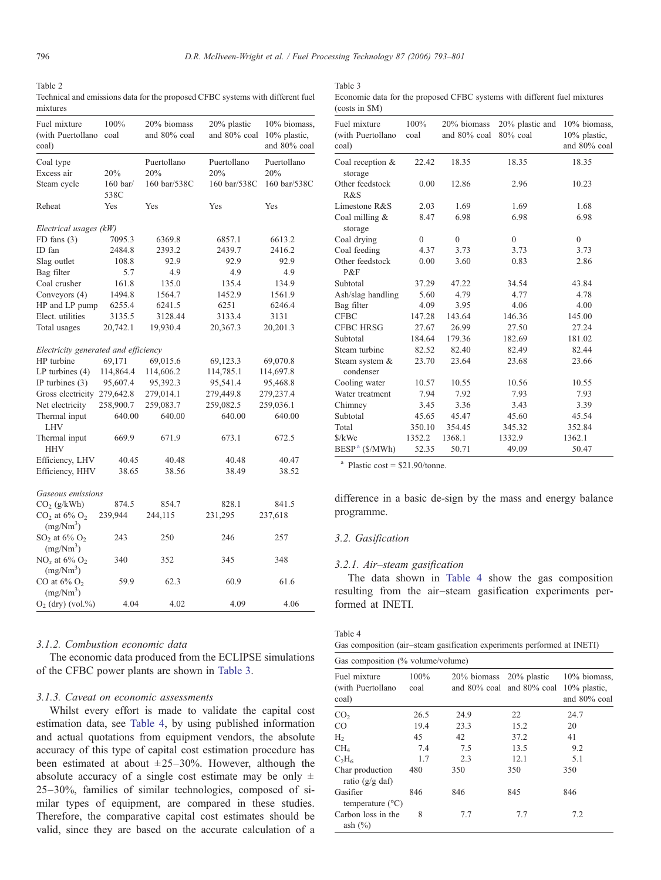<span id="page-3-0"></span>

| Table 2                                                                        |
|--------------------------------------------------------------------------------|
| Technical and emissions data for the proposed CFBC systems with different fuel |
| mixtures                                                                       |

Table 3 Economic data for the proposed CFBC systems with different fuel mixtures (costs in \$M)

| Fuel mixture<br>(with Puertollano<br>coal)          | 100%<br>coal       | 20% biomass<br>and 80% coal | 20% plastic<br>and 80% coal | 10% biomass,<br>10% plastic,<br>and 80% coal |
|-----------------------------------------------------|--------------------|-----------------------------|-----------------------------|----------------------------------------------|
| Coal type                                           |                    | Puertollano                 | Puertollano                 | Puertollano                                  |
| Excess air                                          | 20%                | 20%                         | 20%                         | 20%                                          |
| Steam cycle                                         | $160$ bar/<br>538C | 160 bar/538C                | 160 bar/538C                | 160 bar/538C                                 |
| Reheat                                              | Yes                | Yes                         | Yes                         | Yes                                          |
| Electrical usages (kW)                              |                    |                             |                             |                                              |
| $FD$ fans $(3)$                                     | 7095.3             | 6369.8                      | 6857.1                      | 6613.2                                       |
| ID fan                                              | 2484.8             | 2393.2                      | 2439.7                      | 2416.2                                       |
| Slag outlet                                         | 108.8              | 92.9                        | 92.9                        | 92.9                                         |
| Bag filter                                          | 5.7                | 4.9                         | 4.9                         | 4.9                                          |
| Coal crusher                                        | 161.8              | 135.0                       | 135.4                       | 134.9                                        |
| Conveyors (4)                                       | 1494.8             | 1564.7                      | 1452.9                      | 1561.9                                       |
| HP and LP pump                                      | 6255.4             | 6241.5                      | 6251                        | 6246.4                                       |
| Elect. utilities                                    | 3135.5             | 3128.44                     | 3133.4                      | 3131                                         |
| Total usages                                        | 20,742.1           | 19,930.4                    | 20,367.3                    | 20,201.3                                     |
| Electricity generated and efficiency                |                    |                             |                             |                                              |
| HP turbine                                          | 69,171             | 69,015.6                    | 69,123.3                    | 69,070.8                                     |
| LP turbines $(4)$                                   | 114,864.4          | 114,606.2                   | 114,785.1                   | 114,697.8                                    |
| IP turbines $(3)$                                   | 95,607.4           | 95,392.3                    | 95,541.4                    | 95,468.8                                     |
| Gross electricity                                   | 279,642.8          | 279,014.1                   | 279,449.8                   | 279,237.4                                    |
| Net electricity                                     | 258,900.7          | 259,083.7                   | 259,082.5                   | 259,036.1                                    |
| Thermal input<br><b>LHV</b>                         | 640.00             | 640.00                      | 640.00                      | 640.00                                       |
| Thermal input<br><b>HHV</b>                         | 669.9              | 671.9                       | 673.1                       | 672.5                                        |
| Efficiency, LHV                                     | 40.45              | 40.48                       | 40.48                       | 40.47                                        |
| Efficiency, HHV                                     | 38.65              | 38.56                       | 38.49                       | 38.52                                        |
| Gaseous emissions                                   |                    |                             |                             |                                              |
| $CO2$ (g/kWh)                                       | 874.5              | 854.7                       | 828.1                       | 841.5                                        |
| $CO_2$ at 6% $O_2$<br>(mg/Nm <sup>3</sup> )         | 239,944            | 244,115                     | 231,295                     | 237,618                                      |
| $SO_2$ at 6% $O_2$<br>(mg/Nm <sup>3</sup> )         | 243                | 250                         | 246                         | 257                                          |
| $NOx$ at 6% $O2$                                    | 340                | 352                         | 345                         | 348                                          |
| (mg/Nm <sup>3</sup> )<br>CO at $6\%$ O <sub>2</sub> | 59.9               | 62.3                        | 60.9                        | 61.6                                         |
| (mg/Nm <sup>3</sup> )<br>$O_2$ (dry) (vol.%)        | 4.04               | 4.02                        | 4.09                        | 4.06                                         |

# 3.1.2. Combustion economic data

The economic data produced from the ECLIPSE simulations of the CFBC power plants are shown in Table 3.

## 3.1.3. Caveat on economic assessments

Whilst every effort is made to validate the capital cost estimation data, see Table 4, by using published information and actual quotations from equipment vendors, the absolute accuracy of this type of capital cost estimation procedure has been estimated at about  $\pm 25-30\%$ . However, although the absolute accuracy of a single cost estimate may be only  $\pm$ 25–30%, families of similar technologies, composed of similar types of equipment, are compared in these studies. Therefore, the comparative capital cost estimates should be valid, since they are based on the accurate calculation of a

| Fuel mixture<br>(with Puertollano<br>coal) | 100%<br>coal | 20% biomass<br>and 80% coal | 20% plastic and<br>$80\%$ coal | 10% biomass,<br>$10\%$ plastic,<br>and 80% coal |
|--------------------------------------------|--------------|-----------------------------|--------------------------------|-------------------------------------------------|
| Coal reception $&$<br>storage              | 22.42        | 18.35                       | 18.35                          | 18.35                                           |
| Other feedstock<br>R&S                     | 0.00         | 12.86                       | 2.96                           | 10.23                                           |
| Limestone R&S                              | 2.03         | 1.69                        | 1.69                           | 1.68                                            |
| Coal milling $&$<br>storage                | 8.47         | 6.98                        | 6.98                           | 6.98                                            |
| Coal drying                                | $\Omega$     | $\theta$                    | $\mathbf{0}$                   | $\mathbf{0}$                                    |
| Coal feeding                               | 4.37         | 3.73                        | 3.73                           | 3.73                                            |
| Other feedstock<br>P&F                     | 0.00         | 3.60                        | 0.83                           | 2.86                                            |
| Subtotal                                   | 37.29        | 47.22                       | 34.54                          | 43.84                                           |
| Ash/slag handling                          | 5.60         | 4.79                        | 4.77                           | 4.78                                            |
| Bag filter                                 | 4.09         | 3.95                        | 4.06                           | 4.00                                            |
| <b>CFBC</b>                                | 147.28       | 143.64                      | 146.36                         | 145.00                                          |
| <b>CFBC HRSG</b>                           | 27.67        | 26.99                       | 27.50                          | 27.24                                           |
| Subtotal                                   | 184.64       | 179.36                      | 182.69                         | 181.02                                          |
| Steam turbine                              | 82.52        | 82.40                       | 82.49                          | 82.44                                           |
| Steam system &<br>condenser                | 23.70        | 23.64                       | 23.68                          | 23.66                                           |
| Cooling water                              | 10.57        | 10.55                       | 10.56                          | 10.55                                           |
| Water treatment                            | 7.94         | 7.92                        | 7.93                           | 7.93                                            |
| Chimney                                    | 3.45         | 3.36                        | 3.43                           | 3.39                                            |
| Subtotal                                   | 45.65        | 45.47                       | 45.60                          | 45.54                                           |
| Total                                      | 350.10       | 354.45                      | 345.32                         | 352.84                                          |
| \$/kWe                                     | 1352.2       | 1368.1                      | 1332.9                         | 1362.1                                          |
| BESP <sup>a</sup> (\$/MWh)                 | 52.35        | 50.71                       | 49.09                          | 50.47                                           |
| $a \cdot b \cdot$<br>$A = 0.100L$          |              |                             |                                |                                                 |

Plastic  $cost = $21.90/tonne$ .

difference in a basic de-sign by the mass and energy balance programme.

## 3.2. Gasification

#### 3.2.1. Air–steam gasification

The data shown in Table 4 show the gas composition resulting from the air–steam gasification experiments performed at INETI.

| . .<br>. .<br>×<br>v |  |
|----------------------|--|
|----------------------|--|

|  | Gas composition (air-steam gasification experiments performed at INETI) |  |  |  |  |  |  |
|--|-------------------------------------------------------------------------|--|--|--|--|--|--|
|--|-------------------------------------------------------------------------|--|--|--|--|--|--|

| Gas composition (% volume/volume)          |              |             |                                                   |                                                    |
|--------------------------------------------|--------------|-------------|---------------------------------------------------|----------------------------------------------------|
| Fuel mixture<br>(with Puertollano<br>coal) | 100%<br>coal | 20% biomass | $20\%$ plastic<br>and $80\%$ coal and $80\%$ coal | 10% biomass.<br>$10\%$ plastic,<br>and $80\%$ coal |
| CO <sub>2</sub>                            | 26.5         | 24.9        | 22                                                | 24.7                                               |
| CO                                         | 19.4         | 23.3        | 15.2                                              | 20                                                 |
| H <sub>2</sub>                             | 45           | 42          | 37.2                                              | 41                                                 |
| CH <sub>4</sub>                            | 7.4          | 7.5         | 13.5                                              | 9.2                                                |
| $C_2H_6$                                   | 1.7          | 2.3         | 12.1                                              | 5.1                                                |
| Char production<br>ratio $(g/g \, da f)$   | 480          | 350         | 350                                               | 350                                                |
| Gasifier<br>temperature $(^{\circ}C)$      | 846          | 846         | 845                                               | 846                                                |
| Carbon loss in the<br>ash $(\% )$          | 8            | 7.7         | 7.7                                               | 7.2                                                |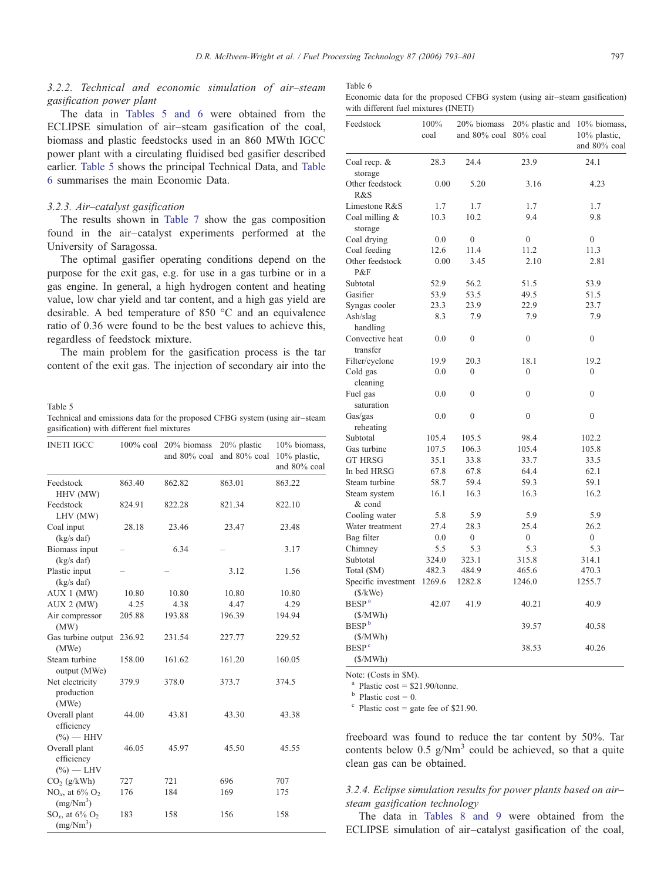# <span id="page-4-0"></span>3.2.2. Technical and economic simulation of air–steam gasification power plant

The data in Tables 5 and 6 were obtained from the ECLIPSE simulation of air–steam gasification of the coal, biomass and plastic feedstocks used in an 860 MWth IGCC power plant with a circulating fluidised bed gasifier described earlier. Table 5 shows the principal Technical Data, and Table 6 summarises the main Economic Data.

## 3.2.3. Air–catalyst gasification

The results shown in [Table 7](#page-5-0) show the gas composition found in the air–catalyst experiments performed at the University of Saragossa.

The optimal gasifier operating conditions depend on the purpose for the exit gas, e.g. for use in a gas turbine or in a gas engine. In general, a high hydrogen content and heating value, low char yield and tar content, and a high gas yield are desirable. A bed temperature of 850 °C and an equivalence ratio of 0.36 were found to be the best values to achieve this, regardless of feedstock mixture.

The main problem for the gasification process is the tar content of the exit gas. The injection of secondary air into the

Table 5

Technical and emissions data for the proposed CFBG system (using air–steam gasification) with different fuel mixtures

| <b>INETI IGCC</b>                                | $100\%$ coal | 20% biomass<br>and 80% coal | 20% plastic<br>and 80% coal | 10% biomass,<br>10% plastic,<br>and 80% coal |
|--------------------------------------------------|--------------|-----------------------------|-----------------------------|----------------------------------------------|
| Feedstock                                        | 863.40       | 862.82                      | 863.01                      | 863.22                                       |
| HHV (MW)                                         |              |                             |                             |                                              |
| Feedstock                                        | 824.91       | 822.28                      | 821.34                      | 822.10                                       |
| LHV (MW)                                         |              |                             |                             |                                              |
| Coal input                                       | 28.18        | 23.46                       | 23.47                       | 23.48                                        |
| $(kg/s \, \text{daf})$                           |              |                             |                             |                                              |
| Biomass input                                    |              | 6.34                        |                             | 3.17                                         |
| $(kg/s \, \text{daf})$                           |              |                             |                             |                                              |
| Plastic input                                    |              |                             | 3.12                        | 1.56                                         |
| $(kg/s \, \text{daf})$                           |              |                             |                             |                                              |
| AUX 1 (MW)                                       | 10.80        | 10.80                       | 10.80                       | 10.80                                        |
| AUX 2 (MW)                                       | 4.25         | 4.38                        | 4.47                        | 4.29                                         |
| Air compressor<br>(MW)                           | 205.88       | 193.88                      | 196.39                      | 194.94                                       |
| Gas turbine output<br>(MWe)                      | 236.92       | 231.54                      | 227.77                      | 229.52                                       |
| Steam turbine<br>output (MWe)                    | 158.00       | 161.62                      | 161.20                      | 160.05                                       |
| Net electricity<br>production<br>(MWe)           | 379.9        | 378.0                       | 373.7                       | 374.5                                        |
| Overall plant<br>efficiency<br>$(\%)$ - HHV      | 44.00        | 43.81                       | 43.30                       | 43.38                                        |
| Overall plant<br>efficiency<br>$(\%) - LHV$      | 46.05        | 45.97                       | 45.50                       | 45.55                                        |
| CO <sub>2</sub> (g/kWh)                          | 727          | 721                         | 696                         | 707                                          |
| $NO_x$ , at $6\%$ $O_2$<br>(mg/Nm <sup>3</sup> ) | 176          | 184                         | 169                         | 175                                          |
| $SOx$ , at 6% $O2$<br>$(mg/Nm^3)$                | 183          | 158                         | 156                         | 158                                          |

Table 6

Economic data for the proposed CFBG system (using air–steam gasification) with different fuel mixtures (INETI)

| Feedstock                           | 100%<br>coal | 20% biomass<br>and 80% coal | 20% plastic and<br>80% coal | 10% biomass,<br>$10\%$ plastic,<br>and 80% coal |
|-------------------------------------|--------------|-----------------------------|-----------------------------|-------------------------------------------------|
| Coal recp. &                        | 28.3         | 24.4                        | 23.9                        | 24.1                                            |
| storage<br>Other feedstock<br>R&S   | 0.00         | 5.20                        | 3.16                        | 4.23                                            |
| Limestone R&S                       | 1.7          | 1.7                         | 1.7                         | 1.7                                             |
| Coal milling $&$<br>storage         | 10.3         | 10.2                        | 9.4                         | 9.8                                             |
| Coal drying                         | 0.0          | $\boldsymbol{0}$            | $\boldsymbol{0}$            | $\boldsymbol{0}$                                |
| Coal feeding                        | 12.6         | 11.4                        | 11.2                        | 11.3                                            |
| Other feedstock<br>P&F              | 0.00         | 3.45                        | 2.10                        | 2.81                                            |
| Subtotal                            | 52.9         | 56.2                        | 51.5                        | 53.9                                            |
| Gasifier                            | 53.9         | 53.5                        | 49.5                        | 51.5                                            |
| Syngas cooler                       | 23.3         | 23.9                        | 22.9                        | 23.7                                            |
| Ash/slag<br>handling                | 8.3          | 7.9                         | 7.9                         | 7.9                                             |
| Convective heat<br>transfer         | 0.0          | $\mathbf{0}$                | $\mathbf{0}$                | $\mathbf{0}$                                    |
| Filter/cyclone                      | 19.9         | 20.3                        | 18.1                        | 19.2                                            |
| Cold gas<br>cleaning                | 0.0          | $\mathbf{0}$                | $\mathbf{0}$                | $\mathbf{0}$                                    |
| Fuel gas<br>saturation              | 0.0          | $\theta$                    | $\mathbf{0}$                | $\mathbf{0}$                                    |
| Gas/gas<br>reheating                | 0.0          | $\mathbf{0}$                | $\mathbf{0}$                | $\mathbf{0}$                                    |
| Subtotal                            | 105.4        | 105.5                       | 98.4                        | 102.2                                           |
| Gas turbine                         | 107.5        | 106.3                       | 105.4                       | 105.8                                           |
| GT HRSG                             | 35.1         | 33.8                        | 33.7                        | 33.5                                            |
| In bed HRSG                         | 67.8         | 67.8                        | 64.4                        | 62.1                                            |
| Steam turbine                       | 58.7         | 59.4                        | 59.3                        | 59.1                                            |
| Steam system<br>& cond              | 16.1         | 16.3                        | 16.3                        | 16.2                                            |
| Cooling water                       | 5.8          | 5.9                         | 5.9                         | 5.9                                             |
| Water treatment                     | 27.4         | 28.3                        | 25.4                        | 26.2                                            |
| Bag filter                          | 0.0          | $\theta$                    | $\Omega$                    | $\boldsymbol{0}$                                |
| Chimney                             | 5.5          | 5.3                         | 5.3                         | 5.3                                             |
| Subtotal                            | 324.0        | 323.1                       | 315.8                       | 314.1                                           |
| Total (\$M)                         | 482.3        | 484.9                       | 465.6                       | 470.3                                           |
| Specific investment<br>(S/kWe)      | 1269.6       | 1282.8                      | 1246.0                      | 1255.7                                          |
| BESP <sup>a</sup><br>(S/MWh)        | 42.07        | 41.9                        | 40.21                       | 40.9                                            |
| BESP <sup>b</sup><br>(S/MWh)        |              |                             | 39.57                       | 40.58                                           |
| <b>BESP</b> <sup>c</sup><br>(S/MWh) |              |                             | 38.53                       | 40.26                                           |
|                                     |              |                             |                             |                                                 |

Note: (Costs in \$M).

<sup>a</sup> Plastic cost = \$21.90/tonne.<br><sup>b</sup> Plastic cost = 0.

 $\degree$  Plastic cost = gate fee of \$21.90.

freeboard was found to reduce the tar content by 50%. Tar contents below  $0.5 \text{ g}/\text{Nm}^3$  could be achieved, so that a quite clean gas can be obtained.

# 3.2.4. Eclipse simulation results for power plants based on air– steam gasification technology

The data in [Tables 8 and 9](#page-5-0) were obtained from the ECLIPSE simulation of air–catalyst gasification of the coal,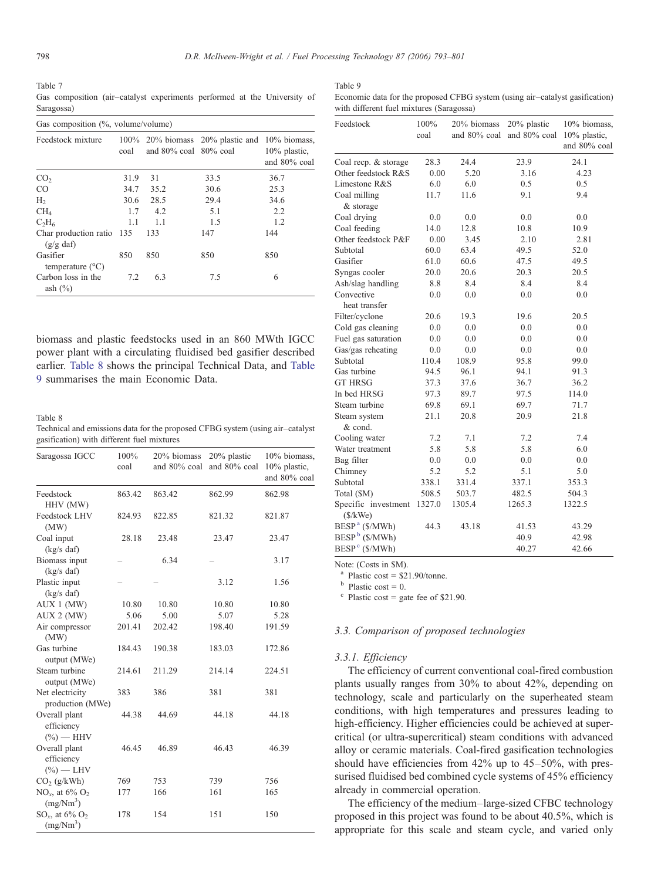<span id="page-5-0"></span>Table 7 Gas composition (air–catalyst experiments performed at the University of Saragossa)

| Gas composition (%, volume/volume)           |      |                             |                                               |                                 |  |
|----------------------------------------------|------|-----------------------------|-----------------------------------------------|---------------------------------|--|
| Feedstock mixture                            | coal | and $80\%$ coal $80\%$ coal | 100% 20% biomass 20% plastic and 10% biomass, | $10\%$ plastic,<br>and 80% coal |  |
| $\mathrm{CO}_2$                              | 31.9 | 31                          | 33.5                                          | 36.7                            |  |
| CO                                           | 34.7 | 35.2                        | 30.6                                          | 25.3                            |  |
| H <sub>2</sub>                               | 30.6 | 28.5                        | 29.4                                          | 34.6                            |  |
| CH <sub>4</sub>                              | 1.7  | 4.2                         | 5.1                                           | 2.2                             |  |
| $C_2H_6$                                     | 1.1  | 1.1                         | 1.5                                           | 1.2                             |  |
| Char production ratio 135<br>$(g/g \, da f)$ |      | 133                         | 147                                           | 144                             |  |
| Gasifier<br>temperature $(^{\circ}C)$        | 850  | 850                         | 850                                           | 850                             |  |
| Carbon loss in the<br>ash $(\%)$             | 7.2  | 6.3                         | 7.5                                           | 6                               |  |

biomass and plastic feedstocks used in an 860 MWth IGCC power plant with a circulating fluidised bed gasifier described earlier. Table 8 shows the principal Technical Data, and Table 9 summarises the main Economic Data.

#### Table 8

Technical and emissions data for the proposed CFBG system (using air–catalyst gasification) with different fuel mixtures

| Saragossa IGCC                                                     | 100%<br>coal | 20% biomass<br>and 80% coal | 20% plastic<br>and 80% coal | 10% biomass,<br>10% plastic,<br>and 80% coal |
|--------------------------------------------------------------------|--------------|-----------------------------|-----------------------------|----------------------------------------------|
| Feedstock<br>HHV (MW)                                              | 863.42       | 863.42                      | 862.99                      | 862.98                                       |
| Feedstock LHV<br>(MW)                                              | 824.93       | 822.85                      | 821.32                      | 821.87                                       |
| Coal input<br>$(kg/s \text{ daf})$                                 | 28.18        | 23.48                       | 23.47                       | 23.47                                        |
| Biomass input<br>$(kg/s \text{ daf})$                              |              | 6.34                        |                             | 3.17                                         |
| Plastic input<br>$(kg/s \text{ daf})$                              |              |                             | 3.12                        | 1.56                                         |
| AUX 1 (MW)                                                         | 10.80        | 10.80                       | 10.80                       | 10.80                                        |
| AUX 2 (MW)                                                         | 5.06         | 5.00                        | 5.07                        | 5.28                                         |
| Air compressor<br>(MW)                                             | 201.41       | 202.42                      | 198.40                      | 191.59                                       |
| Gas turbine<br>output (MWe)                                        | 184.43       | 190.38                      | 183.03                      | 172.86                                       |
| Steam turbine<br>output (MWe)                                      | 214.61       | 211.29                      | 214.14                      | 224.51                                       |
| Net electricity<br>production (MWe)                                | 383          | 386                         | 381                         | 381                                          |
| Overall plant<br>efficiency<br>$(\%)$ - HHV                        | 44.38        | 44.69                       | 44.18                       | 44.18                                        |
| Overall plant<br>efficiency<br>$(\%) - LHV$                        | 46.45        | 46.89                       | 46.43                       | 46.39                                        |
| $CO2$ (g/kWh)                                                      | 769          | 753                         | 739                         | 756                                          |
| $NO_x$ , at 6% $O_2$<br>(mg/Nm <sup>3</sup> )                      | 177          | 166                         | 161                         | 165                                          |
| SO <sub>x</sub> , at $6\%$ O <sub>2</sub><br>(mg/Nm <sup>3</sup> ) | 178          | 154                         | 151                         | 150                                          |

| Table 9                                                                      |
|------------------------------------------------------------------------------|
| Economic data for the proposed CFBG system (using air-catalyst gasification) |
| with different fuel mixtures (Saragossa)                                     |

| Feedstock                       | 100%<br>coal | 20% biomass<br>and 80% coal | 20% plastic<br>and 80% coal | 10% biomass.<br>$10\%$ plastic, |
|---------------------------------|--------------|-----------------------------|-----------------------------|---------------------------------|
|                                 |              |                             |                             | and 80% coal                    |
| Coal recp. & storage            | 28.3         | 24.4                        | 23.9                        | 24.1                            |
| Other feedstock R&S             | 0.00         | 5.20                        | 3.16                        | 4.23                            |
| Limestone R&S                   | 6.0          | 6.0                         | 0.5                         | 0.5                             |
| Coal milling<br>& storage       | 11.7         | 11.6                        | 9.1                         | 9.4                             |
| Coal drying                     | 0.0          | 0.0                         | 0.0                         | 0.0                             |
| Coal feeding                    | 14.0         | 12.8                        | 10.8                        | 10.9                            |
| Other feedstock P&F             | 0.00         | 3.45                        | 2.10                        | 2.81                            |
| Subtotal                        | 60.0         | 63.4                        | 49.5                        | 52.0                            |
| Gasifier                        | 61.0         | 60.6                        | 47.5                        | 49.5                            |
| Syngas cooler                   | 20.0         | 20.6                        | 20.3                        | 20.5                            |
| Ash/slag handling               | 8.8          | 8.4                         | 8.4                         | 8.4                             |
| Convective<br>heat transfer     | 0.0          | 0.0                         | 0.0                         | 0.0                             |
| Filter/cyclone                  | 20.6         | 19.3                        | 19.6                        | 20.5                            |
| Cold gas cleaning               | 0.0          | 0.0                         | 0.0                         | 0.0                             |
| Fuel gas saturation             | 0.0          | 0.0                         | 0.0                         | 0.0                             |
| Gas/gas reheating               | 0.0          | 0.0                         | 0.0                         | 0.0                             |
| Subtotal                        | 110.4        | 108.9                       | 95.8                        | 99.0                            |
| Gas turbine                     | 94.5         | 96.1                        | 94.1                        | 91.3                            |
| <b>GT HRSG</b>                  | 37.3         | 37.6                        | 36.7                        | 36.2                            |
| In bed HRSG                     | 97.3         | 89.7                        | 97.5                        | 114.0                           |
| Steam turbine                   | 69.8         | 69.1                        | 69.7                        | 71.7                            |
| Steam system                    | 21.1         | 20.8                        | 20.9                        | 21.8                            |
| & cond.                         |              |                             |                             |                                 |
| Cooling water                   | 7.2          | 7.1                         | 7.2                         | 7.4                             |
| Water treatment                 | 5.8          | 5.8                         | 5.8                         | 6.0                             |
| Bag filter                      | 0.0          | 0.0                         | 0.0                         | 0.0                             |
| Chimney                         | 5.2          | 5.2                         | 5.1                         | 5.0                             |
| Subtotal                        | 338.1        | 331.4                       | 337.1                       | 353.3                           |
| Total (\$M)                     | 508.5        | 503.7                       | 482.5                       | 504.3                           |
| Specific investment<br>(\$/kWe) | 1327.0       | 1305.4                      | 1265.3                      | 1322.5                          |
| BESP <sup>a</sup> (\$/MWh)      | 44.3         | 43.18                       | 41.53                       | 43.29                           |
| BESP <sup>b</sup> (\$/MWh)      |              |                             | 40.9                        | 42.98                           |
| BESP <sup>c</sup> (\$/MWh)      |              |                             | 40.27                       | 42.66                           |

Note: (Costs in \$M).

<sup>a</sup> Plastic cost = \$21.90/tonne.<br><sup>b</sup> Plastic cost = 0.<br><sup>c</sup> Plastic cost = gate fee of \$21.90.

## 3.3. Comparison of proposed technologies

#### 3.3.1. Efficiency

The efficiency of current conventional coal-fired combustion plants usually ranges from 30% to about 42%, depending on technology, scale and particularly on the superheated steam conditions, with high temperatures and pressures leading to high-efficiency. Higher efficiencies could be achieved at supercritical (or ultra-supercritical) steam conditions with advanced alloy or ceramic materials. Coal-fired gasification technologies should have efficiencies from 42% up to 45–50%, with pressurised fluidised bed combined cycle systems of 45% efficiency already in commercial operation.

The efficiency of the medium–large-sized CFBC technology proposed in this project was found to be about 40.5%, which is appropriate for this scale and steam cycle, and varied only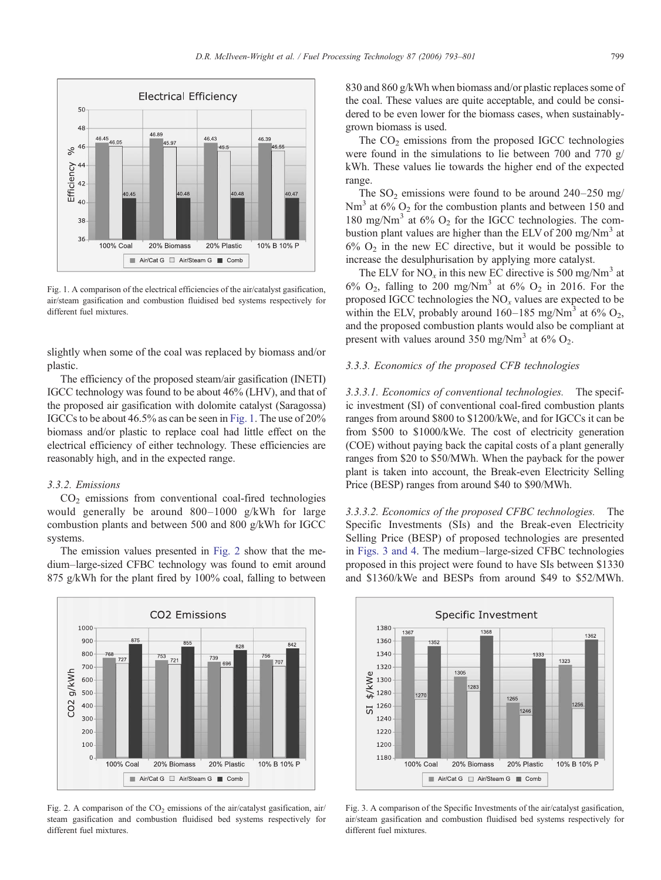

Fig. 1. A comparison of the electrical efficiencies of the air/catalyst gasification, air/steam gasification and combustion fluidised bed systems respectively for different fuel mixtures.

slightly when some of the coal was replaced by biomass and/or plastic.

The efficiency of the proposed steam/air gasification (INETI) IGCC technology was found to be about 46% (LHV), and that of the proposed air gasification with dolomite catalyst (Saragossa) IGCCs to be about 46.5% as can be seen in Fig. 1. The use of 20% biomass and/or plastic to replace coal had little effect on the electrical efficiency of either technology. These efficiencies are reasonably high, and in the expected range.

#### 3.3.2. Emissions

 $CO<sub>2</sub>$  emissions from conventional coal-fired technologies would generally be around 800–1000 g/kWh for large combustion plants and between 500 and 800 g/kWh for IGCC systems.

The emission values presented in Fig. 2 show that the medium–large-sized CFBC technology was found to emit around 875 g/kWh for the plant fired by 100% coal, falling to between



Fig. 2. A comparison of the  $CO<sub>2</sub>$  emissions of the air/catalyst gasification, air/ steam gasification and combustion fluidised bed systems respectively for different fuel mixtures.

830 and 860 g/kWh when biomass and/or plastic replaces some of the coal. These values are quite acceptable, and could be considered to be even lower for the biomass cases, when sustainablygrown biomass is used.

The  $CO<sub>2</sub>$  emissions from the proposed IGCC technologies were found in the simulations to lie between 700 and 770 g/ kWh. These values lie towards the higher end of the expected range.

The  $SO_2$  emissions were found to be around 240–250 mg/  $Nm<sup>3</sup>$  at 6%  $O<sub>2</sub>$  for the combustion plants and between 150 and 180 mg/Nm<sup>3</sup> at  $6\%$  O<sub>2</sub> for the IGCC technologies. The combustion plant values are higher than the ELV of 200 mg/ $Nm<sup>3</sup>$  at  $6\%$  O<sub>2</sub> in the new EC directive, but it would be possible to increase the desulphurisation by applying more catalyst.

The ELV for  $NO_x$  in this new EC directive is 500 mg/Nm<sup>3</sup> at 6%  $O_2$ , falling to 200 mg/Nm<sup>3</sup> at 6%  $O_2$  in 2016. For the proposed IGCC technologies the  $NO<sub>x</sub>$  values are expected to be within the ELV, probably around  $160-185$  mg/Nm<sup>3</sup> at  $6\%$  O<sub>2</sub>, and the proposed combustion plants would also be compliant at present with values around 350 mg/Nm<sup>3</sup> at  $6\%$  O<sub>2</sub>.

#### 3.3.3. Economics of the proposed CFB technologies

3.3.3.1. Economics of conventional technologies. The specific investment (SI) of conventional coal-fired combustion plants ranges from around \$800 to \$1200/kWe, and for IGCCs it can be from \$500 to \$1000/kWe. The cost of electricity generation (COE) without paying back the capital costs of a plant generally ranges from \$20 to \$50/MWh. When the payback for the power plant is taken into account, the Break-even Electricity Selling Price (BESP) ranges from around \$40 to \$90/MWh.

3.3.3.2. Economics of the proposed CFBC technologies. The Specific Investments (SIs) and the Break-even Electricity Selling Price (BESP) of proposed technologies are presented in Figs. 3 and 4. The medium–large-sized CFBC technologies proposed in this project were found to have SIs between \$1330 and \$1360/kWe and BESPs from around \$49 to \$52/MWh.



Fig. 3. A comparison of the Specific Investments of the air/catalyst gasification, air/steam gasification and combustion fluidised bed systems respectively for different fuel mixtures.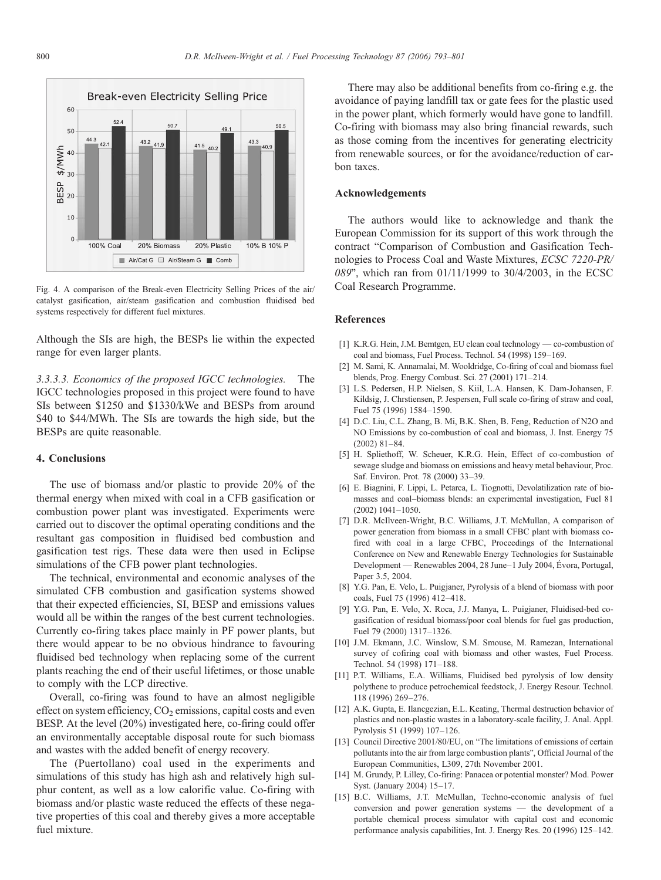<span id="page-7-0"></span>

Fig. 4. A comparison of the Break-even Electricity Selling Prices of the air/ catalyst gasification, air/steam gasification and combustion fluidised bed systems respectively for different fuel mixtures.

Although the SIs are high, the BESPs lie within the expected range for even larger plants.

3.3.3.3. Economics of the proposed IGCC technologies. The IGCC technologies proposed in this project were found to have SIs between \$1250 and \$1330/kWe and BESPs from around \$40 to \$44/MWh. The SIs are towards the high side, but the BESPs are quite reasonable.

#### 4. Conclusions

The use of biomass and/or plastic to provide 20% of the thermal energy when mixed with coal in a CFB gasification or combustion power plant was investigated. Experiments were carried out to discover the optimal operating conditions and the resultant gas composition in fluidised bed combustion and gasification test rigs. These data were then used in Eclipse simulations of the CFB power plant technologies.

The technical, environmental and economic analyses of the simulated CFB combustion and gasification systems showed that their expected efficiencies, SI, BESP and emissions values would all be within the ranges of the best current technologies. Currently co-firing takes place mainly in PF power plants, but there would appear to be no obvious hindrance to favouring fluidised bed technology when replacing some of the current plants reaching the end of their useful lifetimes, or those unable to comply with the LCP directive.

Overall, co-firing was found to have an almost negligible effect on system efficiency,  $CO<sub>2</sub>$  emissions, capital costs and even BESP. At the level (20%) investigated here, co-firing could offer an environmentally acceptable disposal route for such biomass and wastes with the added benefit of energy recovery.

The (Puertollano) coal used in the experiments and simulations of this study has high ash and relatively high sulphur content, as well as a low calorific value. Co-firing with biomass and/or plastic waste reduced the effects of these negative properties of this coal and thereby gives a more acceptable fuel mixture.

There may also be additional benefits from co-firing e.g. the avoidance of paying landfill tax or gate fees for the plastic used in the power plant, which formerly would have gone to landfill. Co-firing with biomass may also bring financial rewards, such as those coming from the incentives for generating electricity from renewable sources, or for the avoidance/reduction of carbon taxes.

## Acknowledgements

The authors would like to acknowledge and thank the European Commission for its support of this work through the contract "Comparison of Combustion and Gasification Technologies to Process Coal and Waste Mixtures, ECSC 7220-PR/ 089", which ran from 01/11/1999 to 30/4/2003, in the ECSC Coal Research Programme.

#### References

- [1] K.R.G. Hein, J.M. Bemtgen, EU clean coal technology co-combustion of coal and biomass, Fuel Process. Technol. 54 (1998) 159–169.
- [2] M. Sami, K. Annamalai, M. Wooldridge, Co-firing of coal and biomass fuel blends, Prog. Energy Combust. Sci. 27 (2001) 171–214.
- [3] L.S. Pedersen, H.P. Nielsen, S. Kiil, L.A. Hansen, K. Dam-Johansen, F. Kildsig, J. Chrstiensen, P. Jespersen, Full scale co-firing of straw and coal, Fuel 75 (1996) 1584–1590.
- [4] D.C. Liu, C.L. Zhang, B. Mi, B.K. Shen, B. Feng, Reduction of N2O and NO Emissions by co-combustion of coal and biomass, J. Inst. Energy 75 (2002) 81–84.
- [5] H. Spliethoff, W. Scheuer, K.R.G. Hein, Effect of co-combustion of sewage sludge and biomass on emissions and heavy metal behaviour, Proc. Saf. Environ. Prot. 78 (2000) 33–39.
- [6] E. Biagnini, F. Lippi, L. Petarca, L. Tiognotti, Devolatilization rate of biomasses and coal–biomass blends: an experimental investigation, Fuel 81 (2002) 1041–1050.
- [7] D.R. McIlveen-Wright, B.C. Williams, J.T. McMullan, A comparison of power generation from biomass in a small CFBC plant with biomass cofired with coal in a large CFBC, Proceedings of the International Conference on New and Renewable Energy Technologies for Sustainable Development — Renewables 2004, 28 June–1 July 2004, Évora, Portugal, Paper 3.5, 2004.
- [8] Y.G. Pan, E. Velo, L. Puigjaner, Pyrolysis of a blend of biomass with poor coals, Fuel 75 (1996) 412–418.
- [9] Y.G. Pan, E. Velo, X. Roca, J.J. Manya, L. Puigjaner, Fluidised-bed cogasification of residual biomass/poor coal blends for fuel gas production, Fuel 79 (2000) 1317–1326.
- [10] J.M. Ekmann, J.C. Winslow, S.M. Smouse, M. Ramezan, International survey of cofiring coal with biomass and other wastes, Fuel Process. Technol. 54 (1998) 171–188.
- [11] P.T. Williams, E.A. Williams, Fluidised bed pyrolysis of low density polythene to produce petrochemical feedstock, J. Energy Resour. Technol. 118 (1996) 269–276.
- [12] A.K. Gupta, E. Ilancgezian, E.L. Keating, Thermal destruction behavior of plastics and non-plastic wastes in a laboratory-scale facility, J. Anal. Appl. Pyrolysis 51 (1999) 107–126.
- [13] Council Directive 2001/80/EU, on "The limitations of emissions of certain pollutants into the air from large combustion plants", Official Journal of the European Communities, L309, 27th November 2001.
- [14] M. Grundy, P. Lilley, Co-firing: Panacea or potential monster? Mod. Power Syst. (January 2004) 15–17.
- [15] B.C. Williams, J.T. McMullan, Techno-economic analysis of fuel conversion and power generation systems — the development of a portable chemical process simulator with capital cost and economic performance analysis capabilities, Int. J. Energy Res. 20 (1996) 125–142.